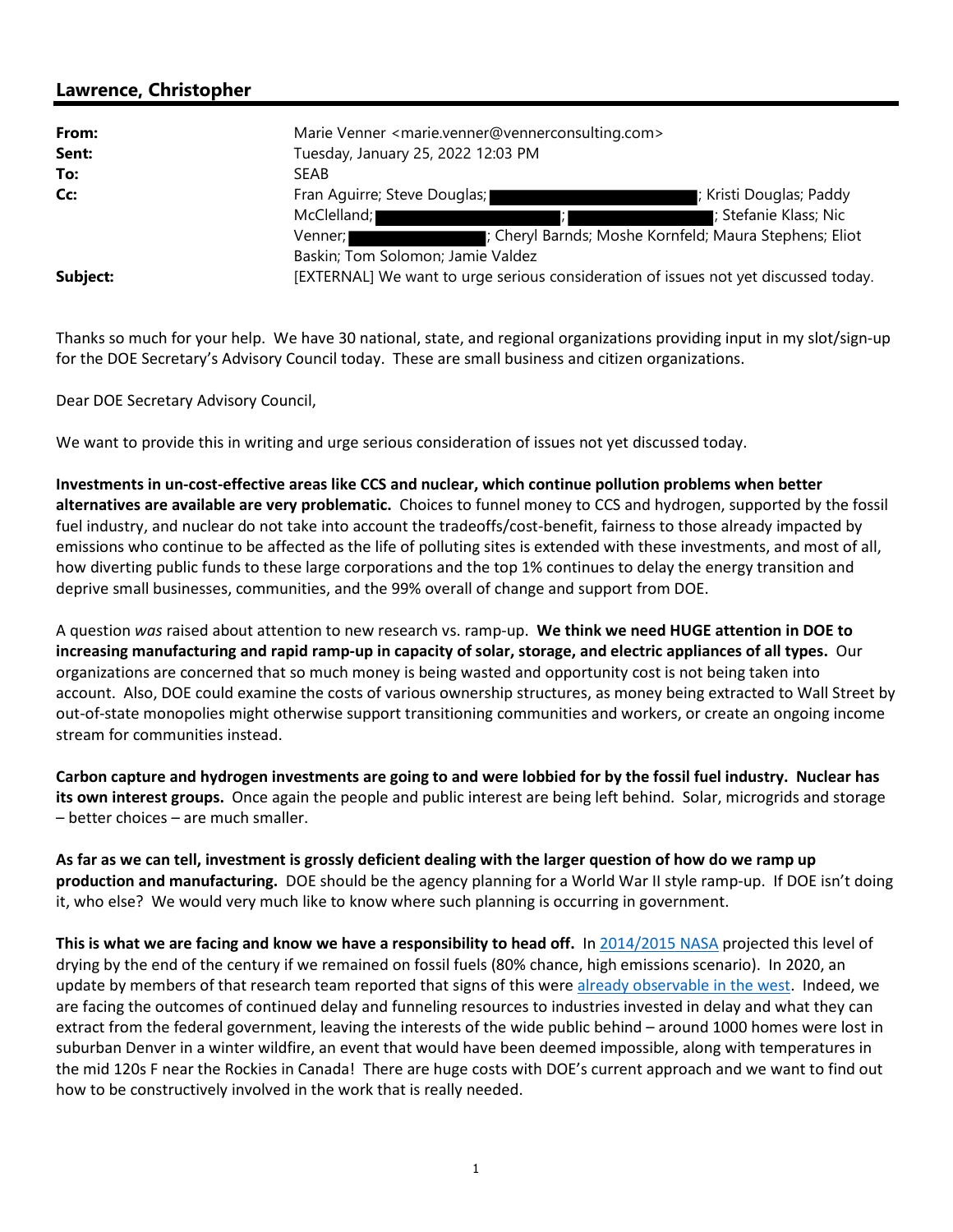## **Lawrence, Christopher**

| From:    | Marie Venner <marie.venner@vennerconsulting.com></marie.venner@vennerconsulting.com> |                         |
|----------|--------------------------------------------------------------------------------------|-------------------------|
| Sent:    | Tuesday, January 25, 2022 12:03 PM                                                   |                         |
| To:      | <b>SEAB</b>                                                                          |                         |
| Cc:      | Fran Aguirre; Steve Douglas;                                                         | ; Kristi Douglas; Paddy |
|          | McClelland;                                                                          | ; Stefanie Klass; Nic   |
|          | : Cheryl Barnds; Moshe Kornfeld; Maura Stephens; Eliot<br>Venner: I                  |                         |
|          | Baskin; Tom Solomon; Jamie Valdez                                                    |                         |
| Subject: | [EXTERNAL] We want to urge serious consideration of issues not yet discussed today.  |                         |

Thanks so much for your help. We have 30 national, state, and regional organizations providing input in my slot/sign-up for the DOE Secretary's Advisory Council today. These are small business and citizen organizations.

Dear DOE Secretary Advisory Council,

We want to provide this in writing and urge serious consideration of issues not yet discussed today.

**Investments in un-cost-effective areas like CCS and nuclear, which continue pollution problems when better alternatives are available are very problematic.** Choices to funnel money to CCS and hydrogen, supported by the fossil fuel industry, and nuclear do not take into account the tradeoffs/cost-benefit, fairness to those already impacted by emissions who continue to be affected as the life of polluting sites is extended with these investments, and most of all, how diverting public funds to these large corporations and the top 1% continues to delay the energy transition and deprive small businesses, communities, and the 99% overall of change and support from DOE.

A question *was* raised about attention to new research vs. ramp-up. **We think we need HUGE attention in DOE to increasing manufacturing and rapid ramp-up in capacity of solar, storage, and electric appliances of all types.** Our organizations are concerned that so much money is being wasted and opportunity cost is not being taken into account. Also, DOE could examine the costs of various ownership structures, as money being extracted to Wall Street by out-of-state monopolies might otherwise support transitioning communities and workers, or create an ongoing income stream for communities instead.

**Carbon capture and hydrogen investments are going to and were lobbied for by the fossil fuel industry. Nuclear has its own interest groups.** Once again the people and public interest are being left behind. Solar, microgrids and storage – better choices – are much smaller.

**As far as we can tell, investment is grossly deficient dealing with the larger question of how do we ramp up production and manufacturing.** DOE should be the agency planning for a World War II style ramp-up. If DOE isn't doing it, who else? We would very much like to know where such planning is occurring in government.

**This is what we are facing and know we have a responsibility to head off.** In 2014/2015 NASA projected this level of drying by the end of the century if we remained on fossil fuels (80% chance, high emissions scenario). In 2020, an update by members of that research team reported that signs of this were already observable in the west. Indeed, we are facing the outcomes of continued delay and funneling resources to industries invested in delay and what they can extract from the federal government, leaving the interests of the wide public behind – around 1000 homes were lost in suburban Denver in a winter wildfire, an event that would have been deemed impossible, along with temperatures in the mid 120s F near the Rockies in Canada! There are huge costs with DOE's current approach and we want to find out how to be constructively involved in the work that is really needed.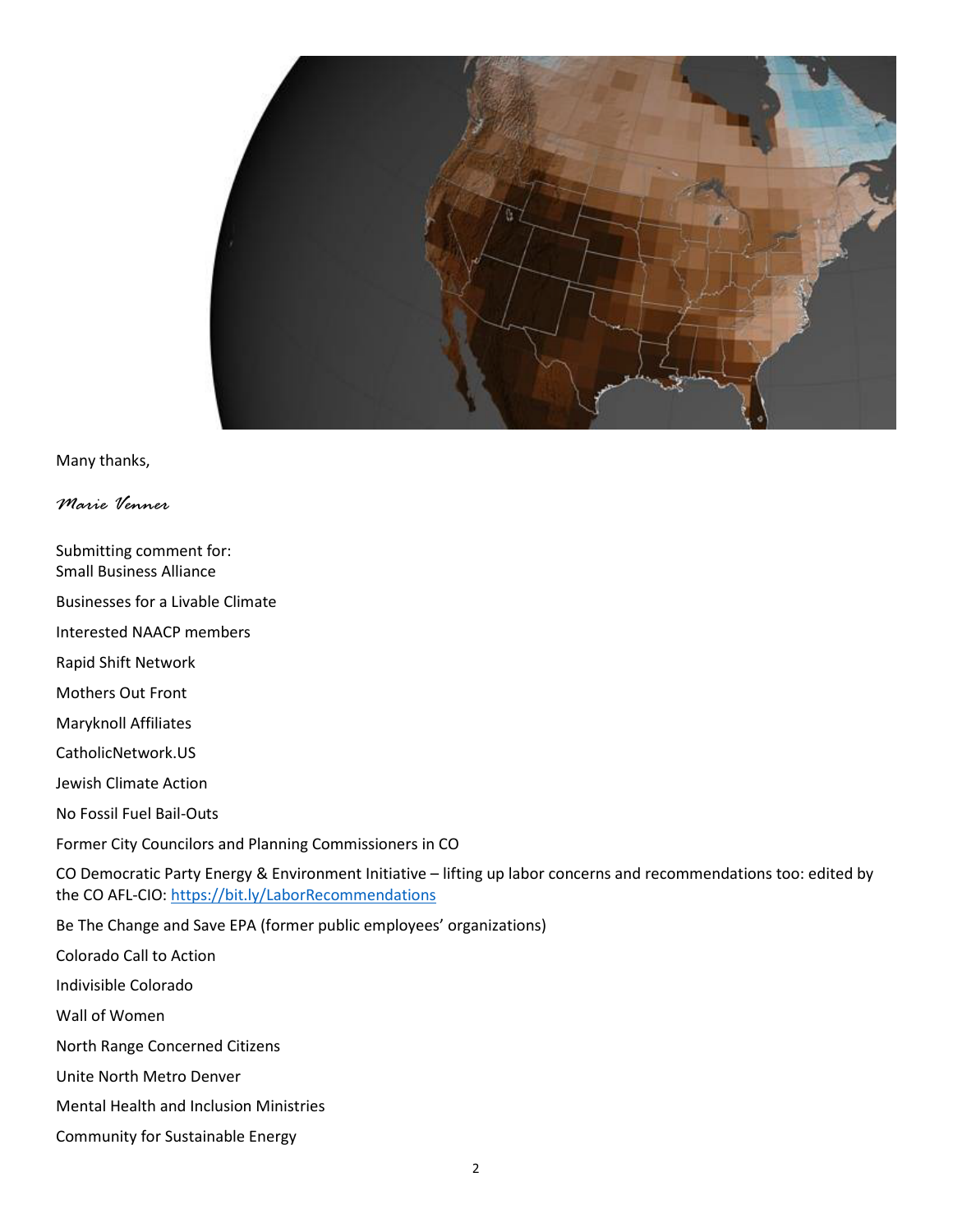

Many thanks,

*Marie Venner* 

Submitting comment for:

Small Business Alliance Businesses for a Livable Climate Interested NAACP members Rapid Shift Network Mothers Out Front Maryknoll Affiliates CatholicNetwork.US Jewish Climate Action No Fossil Fuel Bail-Outs Former City Councilors and Planning Commissioners in CO CO Democratic Party Energy & Environment Initiative – lifting up labor concerns and recommendations too: edited by the CO AFL-CIO: https://bit.ly/LaborRecommendations Be The Change and Save EPA (former public employees' organizations) Colorado Call to Action Indivisible Colorado Wall of Women North Range Concerned Citizens Unite North Metro Denver Mental Health and Inclusion Ministries

Community for Sustainable Energy